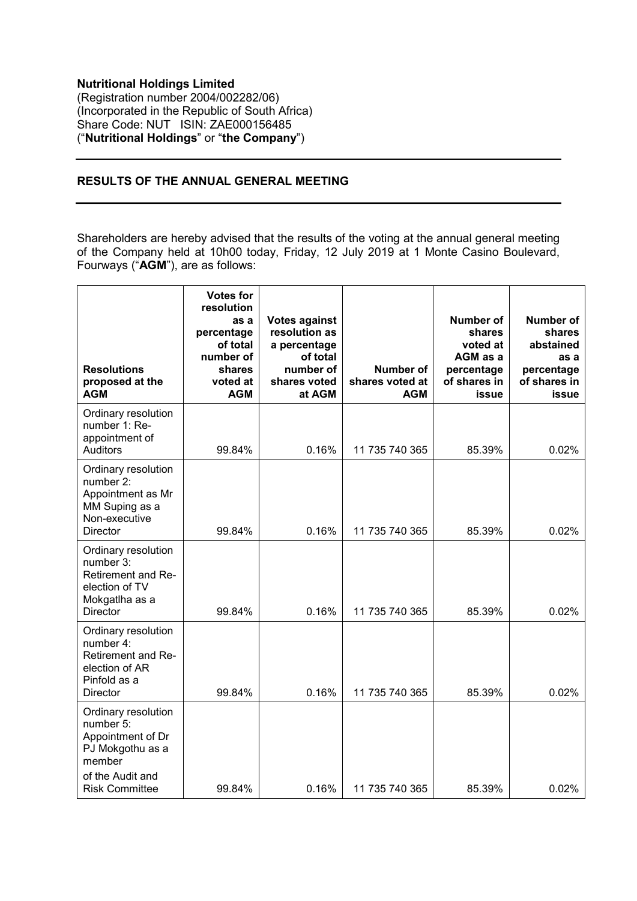## **Nutritional Holdings Limited** (Registration number 2004/002282/06) (Incorporated in the Republic of South Africa) Share Code: NUT ISIN: ZAE000156485 ("**Nutritional Holdings**" or "**the Company**")

## **RESULTS OF THE ANNUAL GENERAL MEETING**

Shareholders are hereby advised that the results of the voting at the annual general meeting of the Company held at 10h00 today, Friday, 12 July 2019 at 1 Monte Casino Boulevard, Fourways ("**AGM**"), are as follows:

| <b>Resolutions</b><br>proposed at the<br><b>AGM</b>                                                                              | <b>Votes for</b><br>resolution<br>as a<br>percentage<br>of total<br>number of<br>shares<br>voted at<br><b>AGM</b> | <b>Votes against</b><br>resolution as<br>a percentage<br>of total<br>number of<br>shares voted<br>at AGM | Number of<br>shares voted at<br><b>AGM</b> | Number of<br>shares<br>voted at<br>AGM as a<br>percentage<br>of shares in<br>issue | Number of<br>shares<br>abstained<br>as a<br>percentage<br>of shares in<br>issue |
|----------------------------------------------------------------------------------------------------------------------------------|-------------------------------------------------------------------------------------------------------------------|----------------------------------------------------------------------------------------------------------|--------------------------------------------|------------------------------------------------------------------------------------|---------------------------------------------------------------------------------|
| Ordinary resolution<br>number 1: Re-<br>appointment of<br><b>Auditors</b>                                                        | 99.84%                                                                                                            | 0.16%                                                                                                    | 11 735 740 365                             | 85.39%                                                                             | 0.02%                                                                           |
| Ordinary resolution<br>number 2:<br>Appointment as Mr<br>MM Suping as a<br>Non-executive<br><b>Director</b>                      | 99.84%                                                                                                            | 0.16%                                                                                                    | 11 735 740 365                             | 85.39%                                                                             | 0.02%                                                                           |
| Ordinary resolution<br>number 3:<br>Retirement and Re-<br>election of TV<br>Mokgatlha as a<br><b>Director</b>                    | 99.84%                                                                                                            | 0.16%                                                                                                    | 11 735 740 365                             | 85.39%                                                                             | 0.02%                                                                           |
| Ordinary resolution<br>number 4:<br>Retirement and Re-<br>election of AR<br>Pinfold as a<br><b>Director</b>                      | 99.84%                                                                                                            | 0.16%                                                                                                    | 11 735 740 365                             | 85.39%                                                                             | 0.02%                                                                           |
| Ordinary resolution<br>number 5:<br>Appointment of Dr<br>PJ Mokgothu as a<br>member<br>of the Audit and<br><b>Risk Committee</b> | 99.84%                                                                                                            | 0.16%                                                                                                    | 11 735 740 365                             | 85.39%                                                                             | 0.02%                                                                           |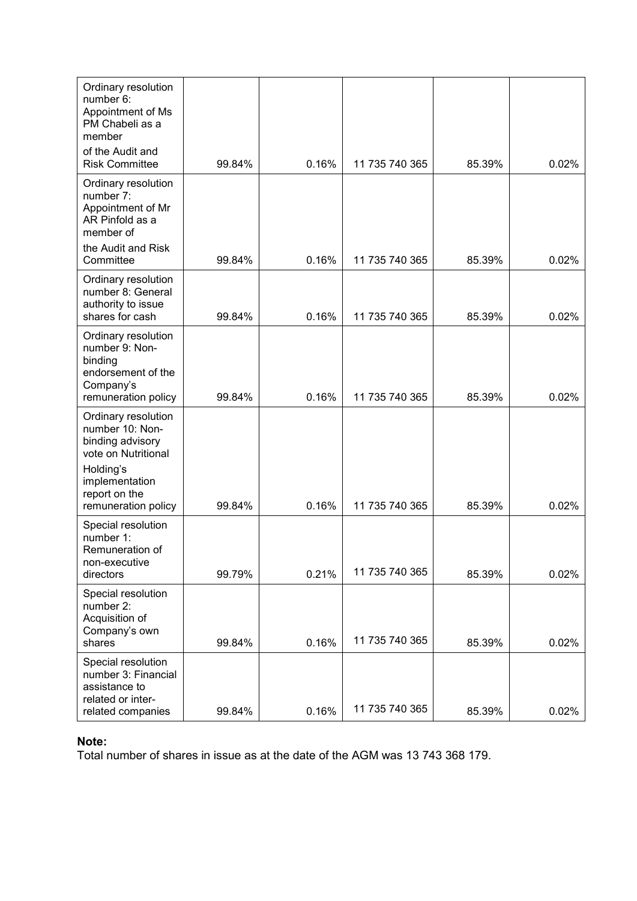| Ordinary resolution<br>number 6:<br>Appointment of Ms<br>PM Chabeli as a<br>member<br>of the Audit and                                                   |        |       |                |        |       |
|----------------------------------------------------------------------------------------------------------------------------------------------------------|--------|-------|----------------|--------|-------|
| <b>Risk Committee</b>                                                                                                                                    | 99.84% | 0.16% | 11 735 740 365 | 85.39% | 0.02% |
| Ordinary resolution<br>number 7:<br>Appointment of Mr<br>AR Pinfold as a<br>member of                                                                    |        |       |                |        |       |
| the Audit and Risk<br>Committee                                                                                                                          | 99.84% | 0.16% | 11 735 740 365 | 85.39% | 0.02% |
| Ordinary resolution<br>number 8: General<br>authority to issue                                                                                           |        |       |                |        |       |
| shares for cash<br>Ordinary resolution                                                                                                                   | 99.84% | 0.16% | 11 735 740 365 | 85.39% | 0.02% |
| number 9: Non-<br>binding<br>endorsement of the<br>Company's<br>remuneration policy                                                                      | 99.84% | 0.16% | 11 735 740 365 | 85.39% | 0.02% |
| Ordinary resolution<br>number 10: Non-<br>binding advisory<br>vote on Nutritional<br>Holding's<br>implementation<br>report on the<br>remuneration policy | 99.84% | 0.16% | 11 735 740 365 | 85.39% | 0.02% |
| Special resolution<br>number 1:<br>Remuneration of<br>non-executive<br>directors                                                                         | 99.79% | 0.21% | 11 735 740 365 | 85.39% | 0.02% |
| Special resolution<br>number 2:<br>Acquisition of<br>Company's own<br>shares                                                                             | 99.84% | 0.16% | 11 735 740 365 | 85.39% | 0.02% |
| Special resolution<br>number 3: Financial<br>assistance to<br>related or inter-<br>related companies                                                     | 99.84% | 0.16% | 11 735 740 365 | 85.39% | 0.02% |

## **Note:**

Total number of shares in issue as at the date of the AGM was 13 743 368 179.